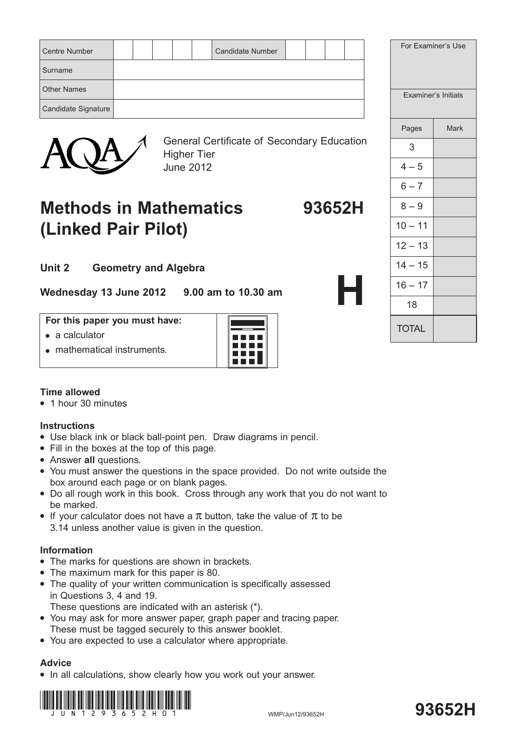| <b>Centre Number</b><br><b>Candidate Number</b> | For Examiner's Use  |
|-------------------------------------------------|---------------------|
| Surname                                         |                     |
| <b>Other Names</b>                              | Examiner's Initials |
| Candidate Signature                             |                     |



General Certificate of Secondary Education Higher Tier June 2012

## **Methods in Mathematics 93652H (Linked Pair Pilot)**

**Unit 2 Geometry and Algebra**

**Wednesday 13 June 2012 9.00 am to 10.30 am**

#### **For this paper you must have:**

- $\bullet$  a calculator
- mathematical instruments.



### **Time allowed**

• 1 hour 30 minutes

### **Instructions**

- Use black ink or black ball-point pen. Draw diagrams in pencil.
- Fill in the boxes at the top of this page.
- **•** Answer all questions.
- You must answer the questions in the space provided. Do not write outside the box around each page or on blank pages.
- Do all rough work in this book. Cross through any work that you do not want to be marked.
- If your calculator does not have a  $\pi$  button, take the value of  $\pi$  to be 3.14 unless another value is given in the question.

### **Information**

- The marks for questions are shown in brackets.
- The maximum mark for this paper is 80.
- The quality of your written communication is specifically assessed in Questions 3, 4 and 19.

These questions are indicated with an asterisk (\*).

- You may ask for more answer paper, graph paper and tracing paper. These must be tagged securely to this answer booklet.
- You are expected to use a calculator where appropriate.

### **Advice**

• In all calculations, show clearly how you work out your answer.



# **93652H**

|         |                            | For Examiner's Use |  |
|---------|----------------------------|--------------------|--|
|         | <b>Examiner's Initials</b> |                    |  |
|         | Pages                      | <b>Mark</b>        |  |
| ucation | 3                          |                    |  |
|         | $4 - 5$                    |                    |  |
|         | $6 - 7$                    |                    |  |
| 52H     | $8 - 9$                    |                    |  |
|         | $10 - 11$                  |                    |  |
|         | $12 - 13$                  |                    |  |
|         | $14 - 15$                  |                    |  |
| H       | $16 - 17$                  |                    |  |
|         | 18                         |                    |  |
|         | <b>TOTAL</b>               |                    |  |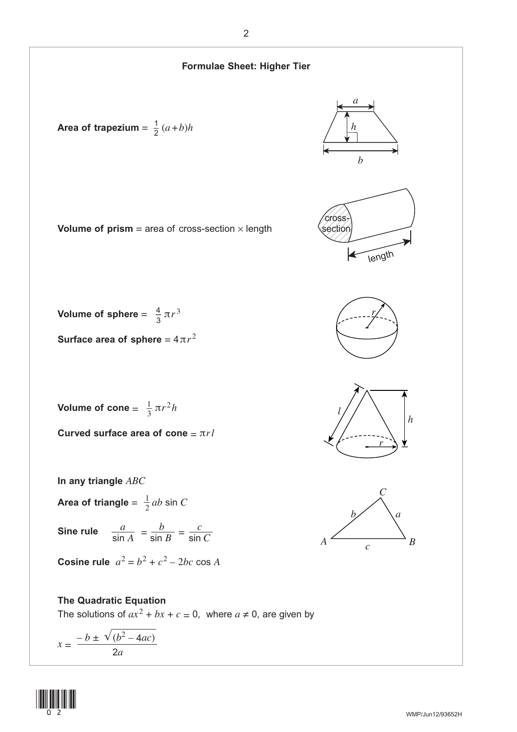

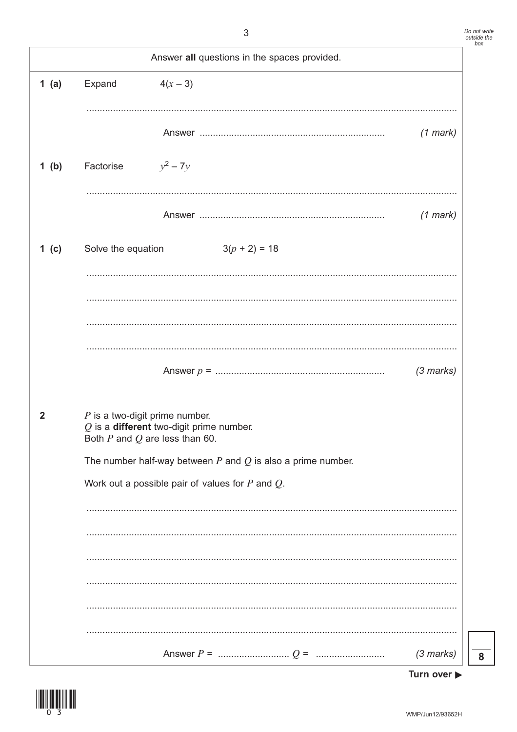|                | Answer all questions in the spaces provided.                                                                         |             |
|----------------|----------------------------------------------------------------------------------------------------------------------|-------------|
| 1(a)           | Expand<br>$4(x - 3)$                                                                                                 |             |
|                |                                                                                                                      | $(1$ mark)  |
| 1(b)           | $y^2 - 7y$<br>Factorise                                                                                              |             |
|                |                                                                                                                      | $(1$ mark)  |
| 1 (c)          | $3(p + 2) = 18$<br>Solve the equation                                                                                |             |
|                |                                                                                                                      |             |
|                |                                                                                                                      |             |
|                |                                                                                                                      |             |
|                |                                                                                                                      | $(3$ marks) |
| $\overline{2}$ | $P$ is a two-digit prime number.<br>$Q$ is a different two-digit prime number.<br>Both $P$ and $Q$ are less than 60. |             |
|                | The number half-way between $P$ and $Q$ is also a prime number.                                                      |             |
|                | Work out a possible pair of values for $P$ and $Q$ .                                                                 |             |
|                |                                                                                                                      |             |
|                |                                                                                                                      |             |
|                |                                                                                                                      |             |
|                |                                                                                                                      |             |
|                |                                                                                                                      |             |
|                |                                                                                                                      | $(3$ marks) |



 $\overline{\mathbf{8}}$ 

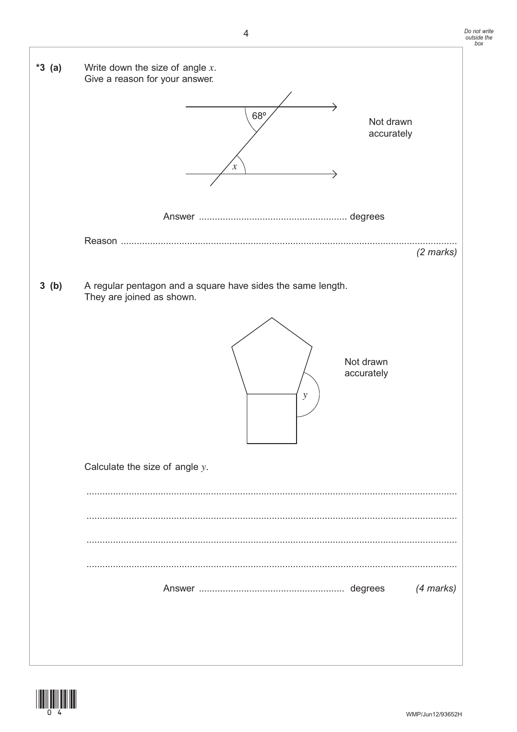



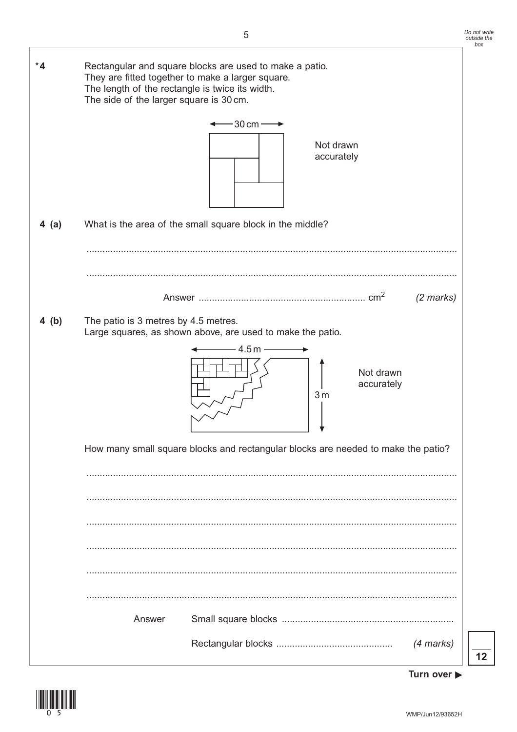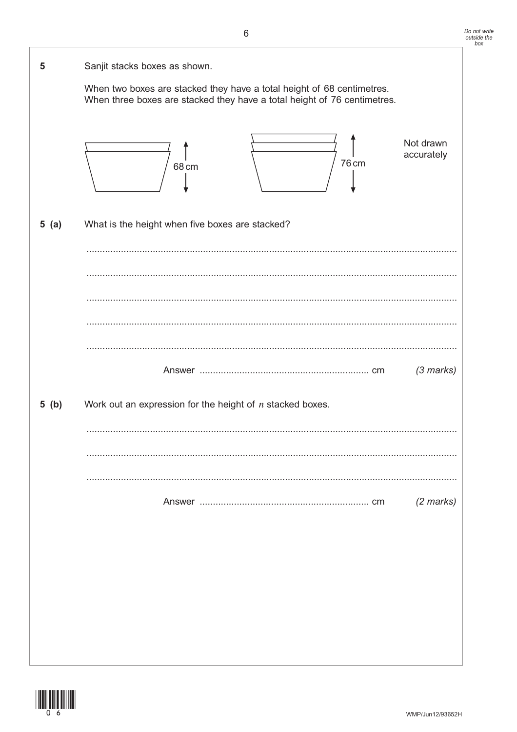| 5    | Sanjit stacks boxes as shown.                                                                                                                      |
|------|----------------------------------------------------------------------------------------------------------------------------------------------------|
|      | When two boxes are stacked they have a total height of 68 centimetres.<br>When three boxes are stacked they have a total height of 76 centimetres. |
|      | Not drawn<br>accurately<br>76 cm<br>68 cm                                                                                                          |
| 5(a) | What is the height when five boxes are stacked?                                                                                                    |
|      |                                                                                                                                                    |
|      |                                                                                                                                                    |
|      |                                                                                                                                                    |
|      |                                                                                                                                                    |
|      | $(3$ marks)                                                                                                                                        |
| 5(b) | Work out an expression for the height of $n$ stacked boxes.                                                                                        |
|      |                                                                                                                                                    |
|      |                                                                                                                                                    |
|      | $(2 \text{ marks})$                                                                                                                                |
|      |                                                                                                                                                    |
|      |                                                                                                                                                    |
|      |                                                                                                                                                    |
|      |                                                                                                                                                    |

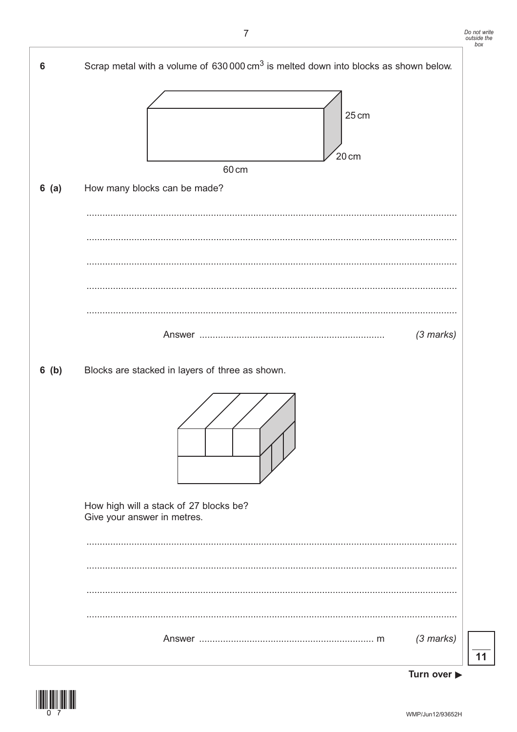



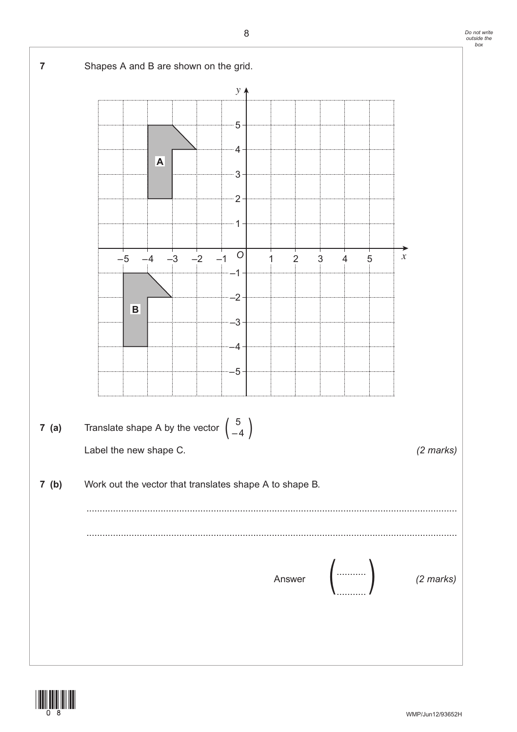

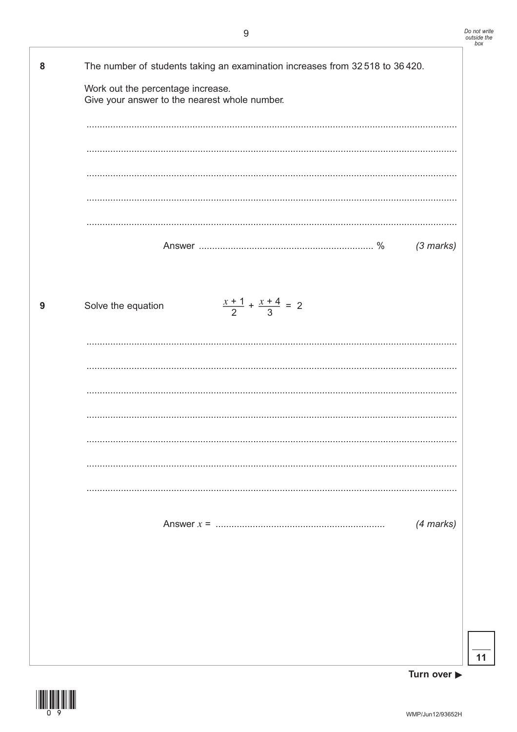| 8 | The number of students taking an examination increases from 32 518 to 36 420.<br>Work out the percentage increase.<br>Give your answer to the nearest whole number. |
|---|---------------------------------------------------------------------------------------------------------------------------------------------------------------------|
|   |                                                                                                                                                                     |
|   | $(3$ marks)                                                                                                                                                         |
| 9 | $\frac{x+1}{2} + \frac{x+4}{3} = 2$<br>Solve the equation                                                                                                           |
|   |                                                                                                                                                                     |
|   |                                                                                                                                                                     |
|   |                                                                                                                                                                     |
|   | $(4$ marks)                                                                                                                                                         |
|   |                                                                                                                                                                     |
|   |                                                                                                                                                                     |

Turn over  $\blacktriangleright$ 

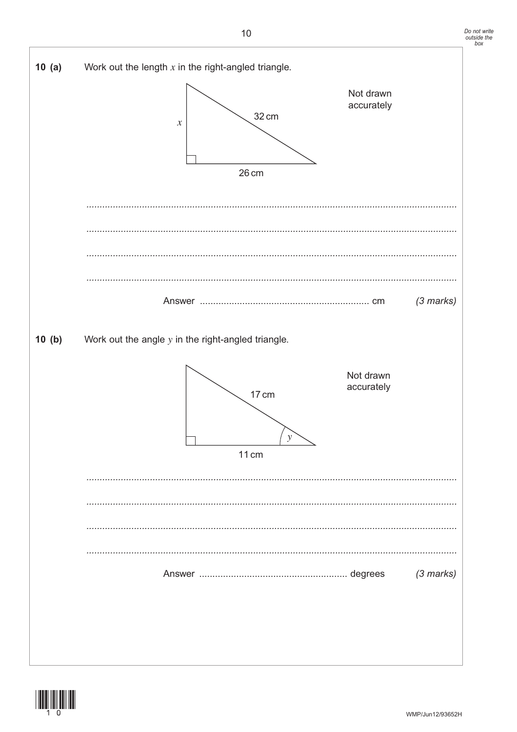



32 cm

#### $10(b)$ Work out the angle  $y$  in the right-angled triangle.





 $10(a)$ 

 $(3$  marks)

Work out the length  $x$  in the right-angled triangle.

 $\mathcal{X}$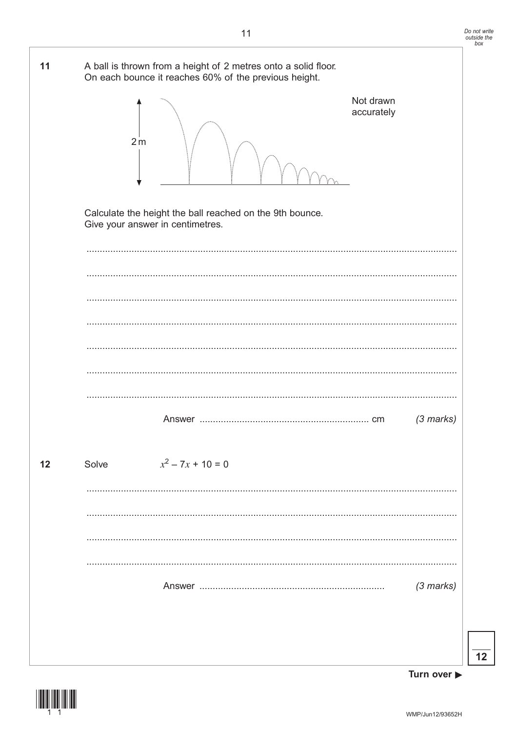

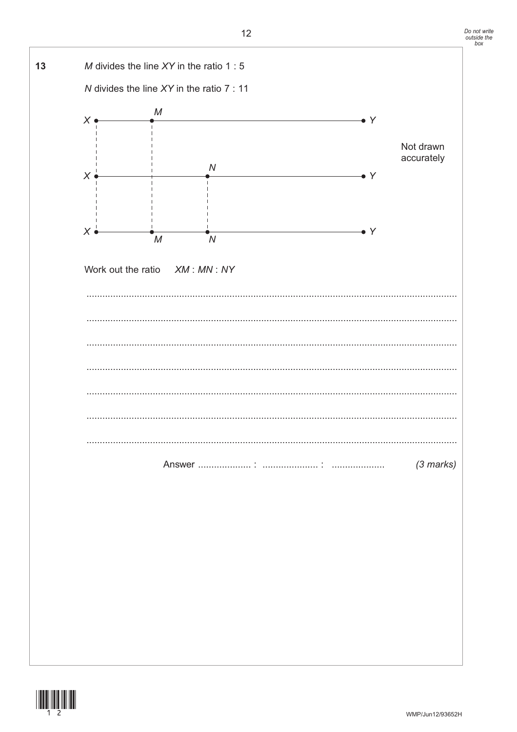

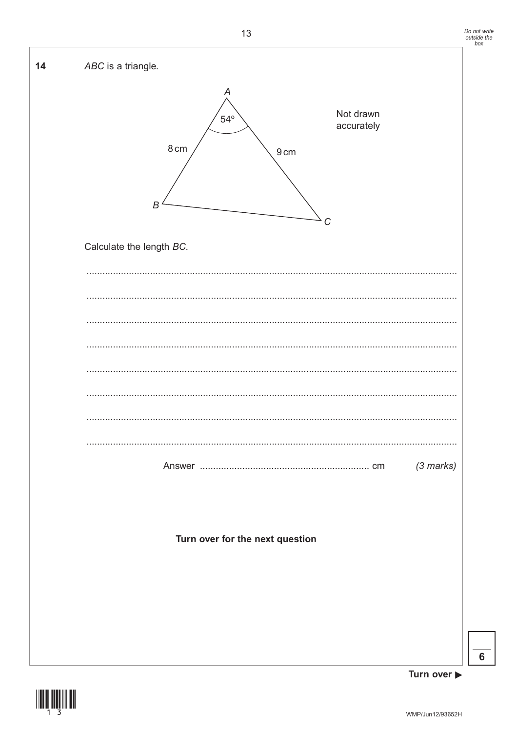



 $6\phantom{a}$ 

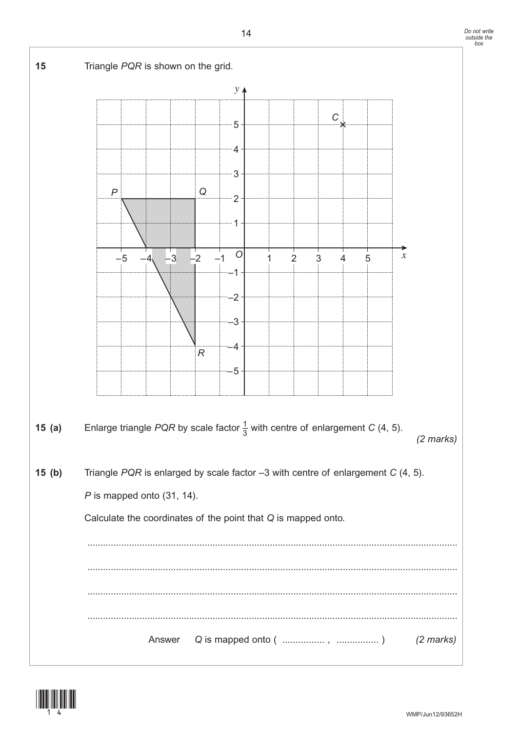

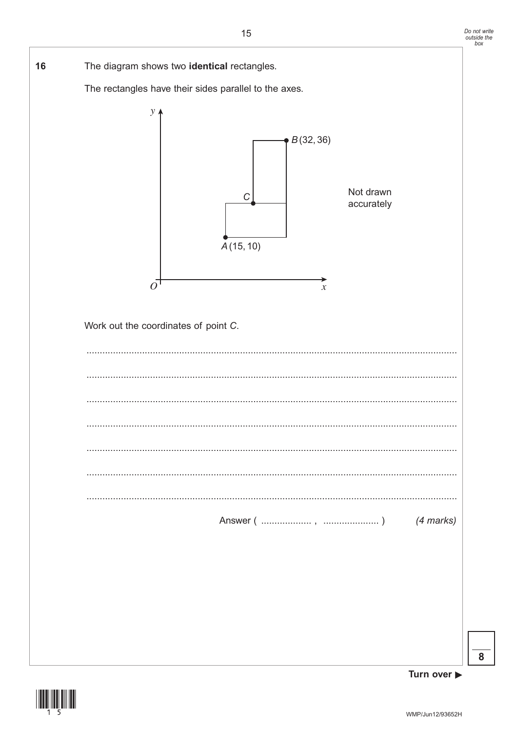

Turn over ▶

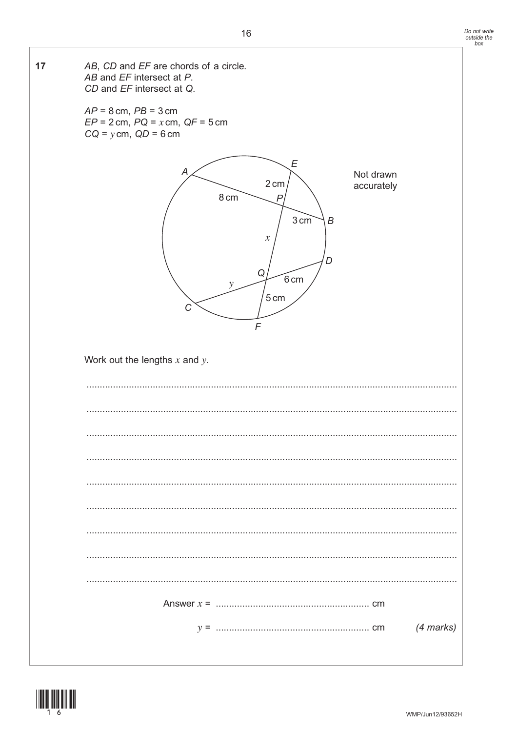

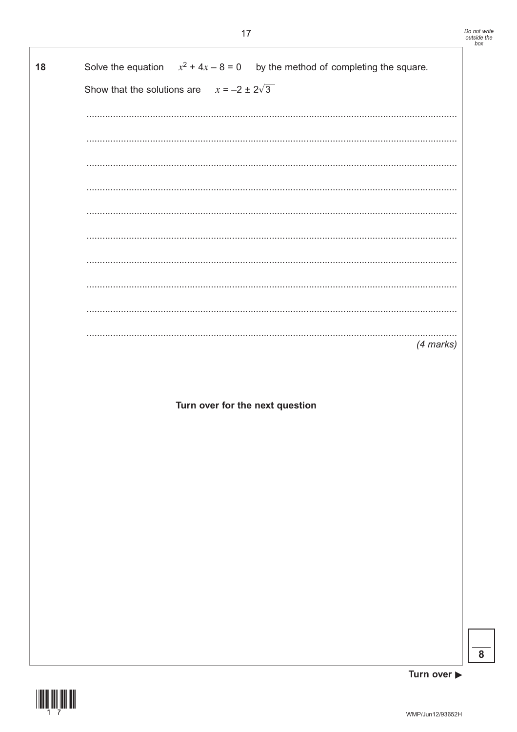| 18 | Solve the equation $x^2 + 4x - 8 = 0$ by the method of completing the square. |
|----|-------------------------------------------------------------------------------|
|    | Show that the solutions are $x = -2 \pm 2\sqrt{3}$                            |
|    |                                                                               |
|    |                                                                               |
|    |                                                                               |
|    |                                                                               |
|    |                                                                               |
|    |                                                                               |
|    |                                                                               |
|    |                                                                               |
|    |                                                                               |
|    | (4 marks)                                                                     |
|    |                                                                               |
|    | Turn over for the next question                                               |
|    |                                                                               |
|    |                                                                               |
|    |                                                                               |
|    |                                                                               |
|    |                                                                               |
|    |                                                                               |
|    |                                                                               |

 $\overline{\mathbf{8}}$ 

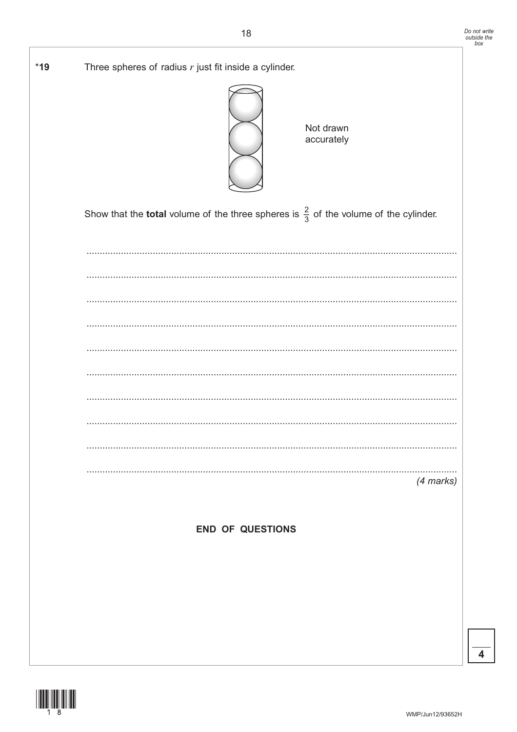| Three spheres of radius $r$ just fit inside a cylinder. | Not drawn<br>accurately                                                                                |           |
|---------------------------------------------------------|--------------------------------------------------------------------------------------------------------|-----------|
|                                                         | Show that the <b>total</b> volume of the three spheres is $\frac{2}{3}$ of the volume of the cylinder. |           |
|                                                         |                                                                                                        |           |
|                                                         |                                                                                                        |           |
|                                                         |                                                                                                        |           |
|                                                         |                                                                                                        |           |
|                                                         |                                                                                                        |           |
|                                                         |                                                                                                        |           |
|                                                         |                                                                                                        |           |
|                                                         |                                                                                                        |           |
|                                                         |                                                                                                        |           |
|                                                         |                                                                                                        | (4 marks) |
|                                                         |                                                                                                        |           |

 $\overline{4}$ 



 $*19$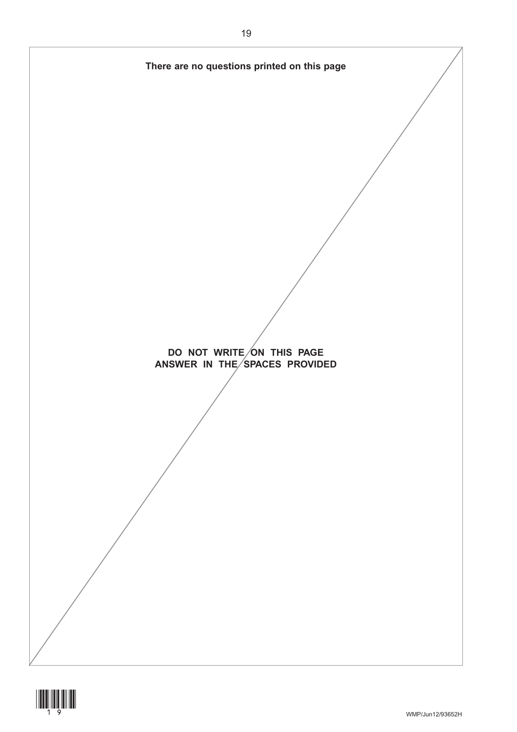